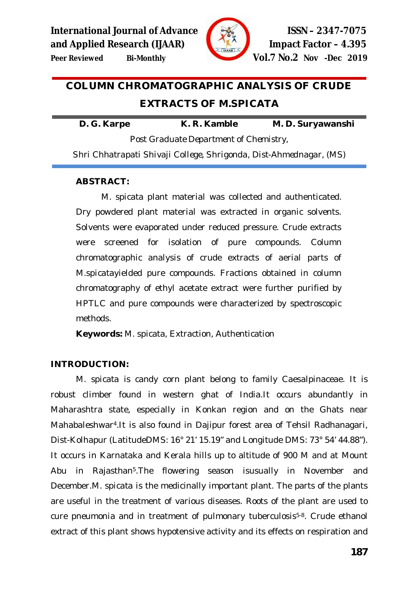

# **COLUMN CHROMATOGRAPHIC ANALYSIS OF CRUDE EXTRACTS OF** *M.SPICATA*

**D. G. Karpe K. R. Kamble M. D. Suryawanshi**

*Post Graduate Department of Chemistry, Shri Chhatrapati Shivaji College, Shrigonda, Dist-Ahmednagar, (MS)*

#### **ABSTRACT:**

*M. spicata* plant material was collected and authenticated. Dry powdered plant material was extracted in organic solvents. Solvents were evaporated under reduced pressure. Crude extracts were screened for isolation of pure compounds. Column chromatographic analysis of crude extracts of aerial parts of *M.spicata*yielded pure compounds. Fractions obtained in column chromatography of ethyl acetate extract were further purified by HPTLC and pure compounds were characterized by spectroscopic methods.

**Keywords:** M. spicata, Extraction, Authentication

### **INTRODUCTION:**

*M. spicata* is candy corn plant belong to family Caesalpinaceae. It is robust climber found in western ghat of India.It occurs abundantly in Maharashtra state, especially in Konkan region and on the Ghats near Mahabaleshwar4.It is also found in Dajipur forest area of Tehsil Radhanagari, Dist-Kolhapur (LatitudeDMS: 16° 21' 15.19" and Longitude DMS: 73° 54' 44.88"). It occurs in Karnataka and Kerala hills up to altitude of 900 M and at Mount Abu in Rajasthan5.The flowering season isusually in November and December.*M. spicata* is the medicinally important plant. The parts of the plants are useful in the treatment of various diseases. Roots of the plant are used to cure pneumonia and in treatment of pulmonary tuberculosis<sup>5-8</sup>. Crude ethanol extract of this plant shows hypotensive activity and its effects on respiration and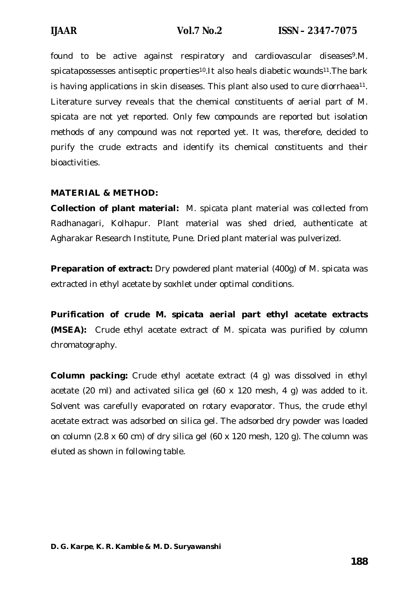found to be active against respiratory and cardiovascular diseases<sup>9</sup>.M. spicatapossesses antiseptic properties<sup>10</sup>.It also heals diabetic wounds<sup>11</sup>. The bark is having applications in skin diseases. This plant also used to cure diorrhaea<sup>11</sup>. Literature survey reveals that the chemical constituents of aerial part of *M. spicata* are not yet reported. Only few compounds are reported but isolation methods of any compound was not reported yet. It was, therefore, decided to purify the crude extracts and identify its chemical constituents and their bioactivities.

## **MATERIAL & METHOD:**

**Collection of plant material:** M. spicata plant material was collected from Radhanagari, Kolhapur. Plant material was shed dried, authenticate at Agharakar Research Institute, Pune. Dried plant material was pulverized.

**Preparation of extract:** Dry powdered plant material (400g) of *M. spicata* was extracted in ethyl acetate by soxhlet under optimal conditions.

**Purification of crude** *M. spicata* **aerial part ethyl acetate extracts (MSEA):** Crude ethyl acetate extract of *M. spicata* was purified by column chromatography.

**Column packing:** Crude ethyl acetate extract (4 g) was dissolved in ethyl acetate (20 ml) and activated silica gel (60 x 120 mesh, 4 g) was added to it. Solvent was carefully evaporated on rotary evaporator. Thus, the crude ethyl acetate extract was adsorbed on silica gel. The adsorbed dry powder was loaded on column (2.8 x 60 cm) of dry silica gel (60 x 120 mesh, 120 g). The column was eluted as shown in following table.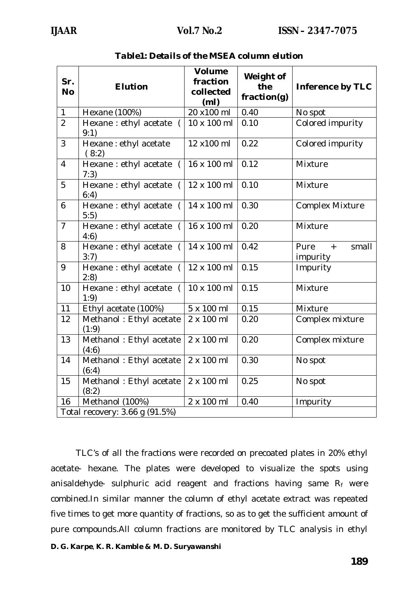| Sr.<br><b>No</b>         | <b>Elution</b>                               | <b>Volume</b><br>fraction<br>collected<br>(m <sub>l</sub> ) | Weight of<br>the<br>fraction(g) | <b>Inference by TLC</b>                       |  |  |
|--------------------------|----------------------------------------------|-------------------------------------------------------------|---------------------------------|-----------------------------------------------|--|--|
| $\mathbf{1}$             | Hexane (100%)                                | 20 x100 ml                                                  | 0.40                            | No spot                                       |  |  |
| $\overline{2}$           | Hexane : ethyl acetate<br>$\left($<br>9:1)   | 10 x 100 ml                                                 | 0.10                            | Colored impurity                              |  |  |
| 3                        | Hexane : ethyl acetate<br>(8:2)              | 12 x100 ml                                                  | 0.22                            | Colored impurity                              |  |  |
| $\overline{\mathcal{A}}$ | Hexane : ethyl acetate<br>$\left($<br>7:3)   | 16 x 100 ml                                                 | 0.12                            | Mixture                                       |  |  |
| 5                        | Hexane : ethyl acetate<br>$\left($<br>6:4)   | 12 x 100 ml                                                 | 0.10                            | Mixture                                       |  |  |
| 6                        | Hexane : ethyl acetate<br>$\sqrt{2}$<br>5:5) | 14 x 100 ml                                                 | 0.30                            | <b>Complex Mixture</b>                        |  |  |
| $\overline{7}$           | Hexane: ethyl acetate<br>$\left($<br>4:6)    | 16 x 100 ml                                                 | 0.20                            | Mixture                                       |  |  |
| 8                        | Hexane : ethyl acetate (<br>3:7)             | 14 x 100 ml                                                 | 0.42                            | Pure<br>small<br>$\boldsymbol{+}$<br>impurity |  |  |
| 9                        | Hexane : ethyl acetate (<br>2:8              | 12 x 100 ml                                                 | 0.15                            | Impurity                                      |  |  |
| 10                       | Hexane : ethyl acetate<br>$\left($<br>1:9)   | 10 x 100 ml                                                 | 0.15                            | Mixture                                       |  |  |
| 11                       | Ethyl acetate (100%)                         | 5 x 100 ml                                                  | 0.15                            | Mixture                                       |  |  |
| 12                       | Methanol: Ethyl acetate<br>(1:9)             | 2 x 100 ml                                                  | 0.20                            | Complex mixture                               |  |  |
| 13                       | Methanol: Ethyl acetate<br>(4:6)             | 2 x 100 ml                                                  | 0.20                            | Complex mixture                               |  |  |
| 14                       | Methanol: Ethyl acetate<br>(6:4)             | 2 x 100 ml                                                  | 0.30                            | No spot                                       |  |  |
| 15                       | Methanol: Ethyl acetate<br>(8:2)             | 2 x 100 ml                                                  | 0.25                            | No spot                                       |  |  |
| 16                       | Methanol (100%)                              | 2 x 100 ml                                                  | 0.40                            | Impurity                                      |  |  |
|                          | Total recovery: 3.66 g (91.5%)               |                                                             |                                 |                                               |  |  |

### *Table1: Details of the MSEA column elution*

TLC's of all the fractions were recorded on precoated plates in 20% ethyl acetate- hexane. The plates were developed to visualize the spots using anisaldehyde- sulphuric acid reagent and fractions having same Rf were combined.In similar manner the column of ethyl acetate extract was repeated five times to get more quantity of fractions, so as to get the sufficient amount of pure compounds.All column fractions are monitored by TLC analysis in ethyl

*D. G. Karpe, K. R. Kamble & M. D. Suryawanshi*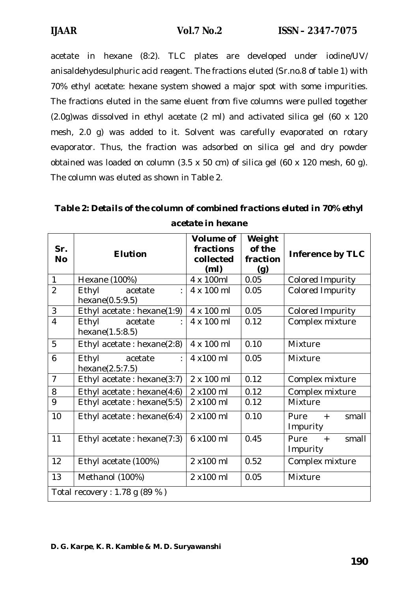acetate in hexane (8:2). TLC plates are developed under iodine/UV/ anisaldehydesulphuric acid reagent. The fractions eluted (Sr.no.8 of table 1) with 70% ethyl acetate: hexane system showed a major spot with some impurities. The fractions eluted in the same eluent from five columns were pulled together (2.0g)was dissolved in ethyl acetate (2 ml) and activated silica gel (60 x 120 mesh, 2.0 g) was added to it. Solvent was carefully evaporated on rotary evaporator. Thus, the fraction was adsorbed on silica gel and dry powder obtained was loaded on column (3.5 x 50 cm) of silica gel (60 x 120 mesh, 60 g). The column was eluted as shown in Table 2.

*Table 2: Details of the column of combined fractions eluted in 70% ethyl acetate in hexane*

| Sr.<br><b>No</b>                 | <b>Elution</b>                         | <b>Volume of</b><br>fractions<br>collected<br>(m <sub>l</sub> ) | Weight<br>of the<br>fraction<br>(g) | <b>Inference by TLC</b>          |
|----------------------------------|----------------------------------------|-----------------------------------------------------------------|-------------------------------------|----------------------------------|
| $\mathbf{1}$                     | Hexane (100%)                          | 4 x 100ml                                                       | 0.05                                | Colored Impurity                 |
| $\overline{2}$                   | Ethyl<br>acetate<br>hexane $(0.5:9.5)$ | 4 x 100 ml                                                      | 0.05                                | Colored Impurity                 |
| 3                                | Ethyl acetate: hexane(1:9)             | 4 x 100 ml                                                      | 0.05                                | Colored Impurity                 |
| $\overline{4}$                   | Ethyl<br>acetate<br>hexane(1.5:8.5)    | 4 x 100 ml                                                      | 0.12                                | Complex mixture                  |
| 5                                | Ethyl acetate : hexane $(2:8)$         | 4 x 100 ml                                                      | 0.10                                | Mixture                          |
| 6                                | Ethyl<br>acetate<br>hexane(2.5:7.5)    | 4 x100 ml                                                       | 0.05                                | Mixture                          |
| $\overline{7}$                   | Ethyl acetate: hexane(3:7)             | 2 x 100 ml                                                      | 0.12                                | Complex mixture                  |
| 8                                | Ethyl acetate: hexane(4:6)             | 2 x100 ml                                                       | 0.12                                | Complex mixture                  |
| 9                                | Ethyl acetate: hexane(5:5)             | 2 x100 ml                                                       | 0.12                                | Mixture                          |
| 10                               | Ethyl acetate: hexane(6:4)             | 2 x100 ml                                                       | 0.10                                | Pure<br>small<br>$+$<br>Impurity |
| 11                               | Ethyl acetate : hexane $(7:3)$         | 6 x100 ml                                                       | 0.45                                | small<br>Pure<br>$+$<br>Impurity |
| 12                               | Ethyl acetate (100%)                   | 2 x100 ml                                                       | 0.52                                | Complex mixture                  |
| 13                               | Methanol (100%)                        | 2 x100 ml                                                       | 0.05                                | Mixture                          |
| Total recovery : 1.78 g $(89\%)$ |                                        |                                                                 |                                     |                                  |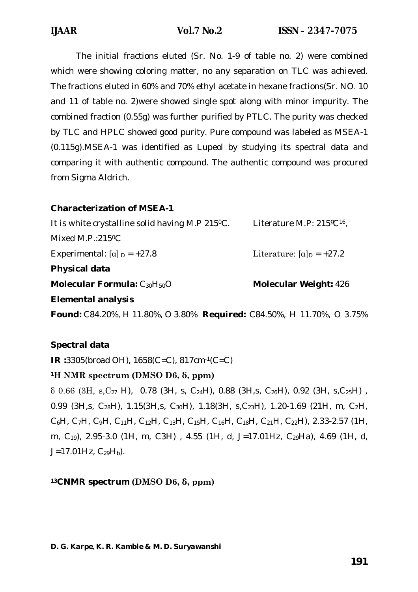The initial fractions eluted (Sr. No. 1-9 of table no. 2) were combined which were showing coloring matter, no any separation on TLC was achieved. The fractions eluted in 60% and 70% ethyl acetate in hexane fractions(Sr. NO. 10 and 11 of table no. 2)were showed single spot along with minor impurity. The combined fraction (0.55g) was further purified by PTLC. The purity was checked by TLC and HPLC showed good purity. Pure compound was labeled as MSEA-1 (0.115g).MSEA-1 was identified as Lupeol by studying its spectral data and comparing it with authentic compound. The authentic compound was procured from Sigma Aldrich.

# **Characterization of MSEA-1**

| It is white crystalline solid having M.P 215 °C. | Literature M.P: 215°C <sup>16</sup> ,     |
|--------------------------------------------------|-------------------------------------------|
| Mixed M.P.:215 $°C$                              |                                           |
| Experimental: $\lceil \alpha \rceil_p = +27.8$   | Literature: $\alpha$ <sub>D</sub> = +27.2 |
| Physical data                                    |                                           |
| Molecular Formula: $C_{30}H_{50}O$               | <b>Molecular Weight: 426</b>              |
| <b>Elemental analysis</b>                        |                                           |
|                                                  |                                           |

**Found:** C84.20%, H 11.80%, O 3.80% **Required:** C84.50%, H 11.70%, O 3.75%

# **Spectral data**

**IR :**3305(broad OH), 1658(C=C), 817cm-1(C=C)

# **<sup>1</sup>H NMR spectrum (DMSO D6, δ, ppm)**

 $\delta$  0.66 (3H, s, C<sub>27</sub> H), 0.78 (3H, s, C<sub>24</sub>H), 0.88 (3H, s, C<sub>26</sub>H), 0.92 (3H, s, C<sub>25</sub>H), 0.99 (3H,s, C<sub>28</sub>H), 1.15(3H,s, C<sub>30</sub>H), 1.18(3H, s,C<sub>23</sub>H), 1.20-1.69 (21H, m, C<sub>2</sub>H,  $C_6H$ , C<sub>7</sub>H, C<sub>9</sub>H, C<sub>11</sub>H, C<sub>12</sub>H, C<sub>13</sub>H, C<sub>15</sub>H, C<sub>16</sub>H, C<sub>18</sub>H, C<sub>21</sub>H, C<sub>22</sub>H), 2.33-2.57 (1H, m, C19), 2.95-3.0 (1H, m, C3H) , 4.55 (1H, d, J=17.01Hz, C29Ha), 4.69 (1H, d,  $J=17.01Hz$ ,  $C_{29}H_b$ ).

# **13CNMR spectrum (DMSO D6, δ, ppm)**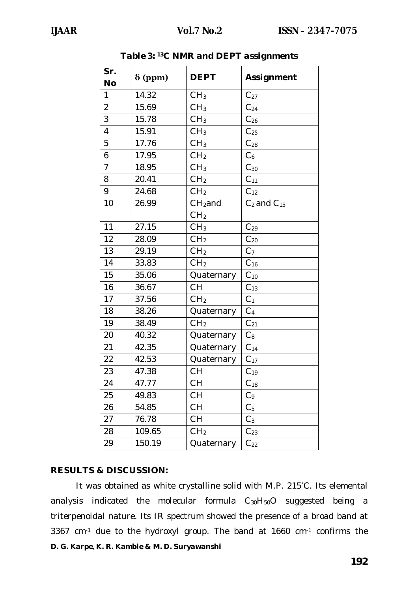| Sr.            |                |                 |                    |
|----------------|----------------|-----------------|--------------------|
| <b>No</b>      | $\delta$ (ppm) | <b>DEPT</b>     | <b>Assignment</b>  |
| 1              | 14.32          | CH <sub>3</sub> | $C_{27}$           |
| $\overline{2}$ | 15.69          | CH <sub>3</sub> | $C_{24}$           |
| 3              | 15.78          | CH <sub>3</sub> | $C_{26}$           |
| $\overline{4}$ | 15.91          | CH <sub>3</sub> | $C_{25}$           |
| 5              | 17.76          | CH <sub>3</sub> | $C_{28}$           |
| 6              | 17.95          | CH <sub>2</sub> | C <sub>6</sub>     |
| $\overline{7}$ | 18.95          | CH <sub>3</sub> | $C_{30}$           |
| 8              | 20.41          | CH <sub>2</sub> | C <sub>11</sub>    |
| 9              | 24.68          | CH <sub>2</sub> | $C_{12}$           |
| 10             | 26.99          | $CH2$ and       | $C_2$ and $C_{15}$ |
|                |                | CH <sub>2</sub> |                    |
| 11             | 27.15          | CH <sub>3</sub> | $C_{29}$           |
| 12             | 28.09          | CH <sub>2</sub> | $C_{20}$           |
| 13             | 29.19          | CH <sub>2</sub> | C <sub>7</sub>     |
| 14             | 33.83          | CH <sub>2</sub> | $C_{16}$           |
| 15             | 35.06          | Quaternary      | $C_{10}$           |
| 16             | 36.67          | <b>CH</b>       | $C_{13}$           |
| 17             | 37.56          | CH <sub>2</sub> | C <sub>1</sub>     |
| 18             | 38.26          | Quaternary      | C <sub>4</sub>     |
| 19             | 38.49          | CH <sub>2</sub> | $C_{21}$           |
| 20             | 40.32          | Quaternary      | $\mathrm{C}_8$     |
| 21             | 42.35          | Quaternary      | C <sub>14</sub>    |
| 22             | 42.53          | Quaternary      | $C_{17}$           |
| 23             | 47.38          | <b>CH</b>       | $C_{19}$           |
| 24             | 47.77          | <b>CH</b>       | $C_{18}$           |
| 25             | 49.83          | СH              | $C_9$              |
| 26             | 54.85          | <b>CH</b>       | C <sub>5</sub>     |
| 27             | 76.78          | CH              | $C_3$              |
| 28             | 109.65         | CH <sub>2</sub> | $\mathrm{C}_{23}$  |
| 29             | 150.19         | Quaternary      | $\mathsf{C}_{22}$  |

*Table 3: 13C NMR and DEPT assignments*

### **RESULTS & DISCUSSION:**

*D. G. Karpe, K. R. Kamble & M. D. Suryawanshi* It was obtained as white crystalline solid with M.P. 215°C. Its elemental analysis indicated the molecular formula  $C_{30}H_{50}O$  suggested being a triterpenoidal nature. Its IR spectrum showed the presence of a broad band at 3367 cm-1 due to the hydroxyl group. The band at 1660 cm-1 confirms the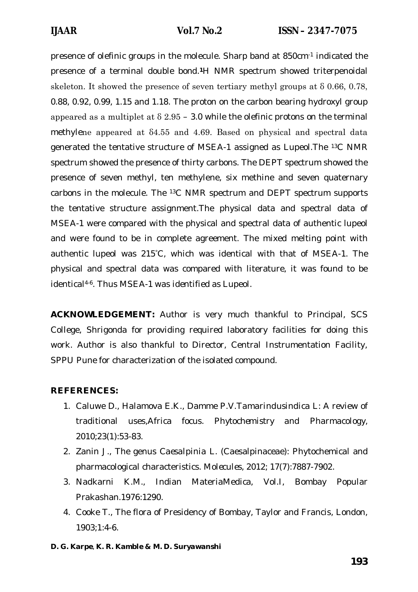presence of olefinic groups in the molecule. Sharp band at 850cm-1 indicated the presence of a terminal double bond.**1**H NMR spectrum showed triterpenoidal skeleton. It showed the presence of seven tertiary methyl groups at δ 0.66, 0.78, 0.88, 0.92, 0.99, 1.15 and 1.18. The proton on the carbon bearing hydroxyl group appeared as a multiplet at  $\delta$  2.95 – 3.0 while the olefinic protons on the terminal methylene appeared at δ4.55 and 4.69. Based on physical and spectral data generated the tentative structure of MSEA-1 assigned as Lupeol.The 13C NMR spectrum showed the presence of thirty carbons. The DEPT spectrum showed the presence of seven methyl, ten methylene, six methine and seven quaternary carbons in the molecule. The 13C NMR spectrum and DEPT spectrum supports the tentative structure assignment.The physical data and spectral data of MSEA-1 were compared with the physical and spectral data of authentic lupeol and were found to be in complete agreement. The mixed melting point with authentic lupeol was 215°C, which was identical with that of MSEA-1. The physical and spectral data was compared with literature, it was found to be identical4-6. Thus MSEA-1 was identified as Lupeol.

*ACKNOWLEDGEMENT:* Author is very much thankful to Principal, SCS College, Shrigonda for providing required laboratory facilities for doing this work. Author is also thankful to Director, Central Instrumentation Facility, SPPU Pune for characterization of the isolated compound.

### **REFERENCES:**

- 1. Caluwe D., Halamova E.K., Damme P.V.*Tamarindusindica L*: A review of traditional uses,Africa focus. *Phytochemistry and Pharmacology,*  2010;23(1):53-83.
- 2. Zanin J., The genus *Caesalpinia L*. (Caesalpinaceae): Phytochemical and pharmacological characteristics. *Molecules,* 2012; 17(7):7887-7902.
- 3. Nadkarni K.M., Indian MateriaMedica, Vol.I, Bombay Popular Prakashan.1976:1290.
- 4. Cooke T., The flora of Presidency of Bombay, Taylor and Francis, London, 1903;1:4-6.